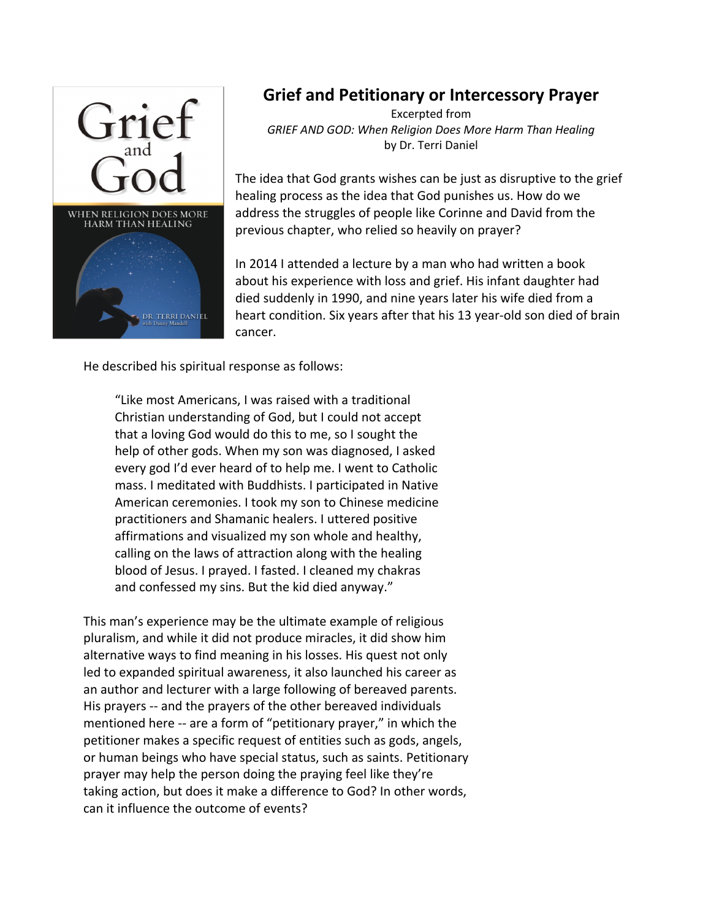

## **Grief and Petitionary or Intercessory Prayer**

Excerpted from *GRIEF AND GOD: When Religion Does More Harm Than Healing* by Dr. Terri Daniel

The idea that God grants wishes can be just as disruptive to the grief healing process as the idea that God punishes us. How do we address the struggles of people like Corinne and David from the previous chapter, who relied so heavily on prayer?

In 2014 I attended a lecture by a man who had written a book about his experience with loss and grief. His infant daughter had died suddenly in 1990, and nine years later his wife died from a heart condition. Six years after that his 13 year-old son died of brain cancer.

He described his spiritual response as follows:

"Like most Americans, I was raised with a traditional Christian understanding of God, but I could not accept that a loving God would do this to me, so I sought the help of other gods. When my son was diagnosed, I asked every god I'd ever heard of to help me. I went to Catholic mass. I meditated with Buddhists. I participated in Native American ceremonies. I took my son to Chinese medicine practitioners and Shamanic healers. I uttered positive affirmations and visualized my son whole and healthy, calling on the laws of attraction along with the healing blood of Jesus. I prayed. I fasted. I cleaned my chakras and confessed my sins. But the kid died anyway."

This man's experience may be the ultimate example of religious pluralism, and while it did not produce miracles, it did show him alternative ways to find meaning in his losses. His quest not only led to expanded spiritual awareness, it also launched his career as an author and lecturer with a large following of bereaved parents. His prayers -- and the prayers of the other bereaved individuals mentioned here -- are a form of "petitionary prayer," in which the petitioner makes a specific request of entities such as gods, angels, or human beings who have special status, such as saints. Petitionary prayer may help the person doing the praying feel like they're taking action, but does it make a difference to God? In other words, can it influence the outcome of events?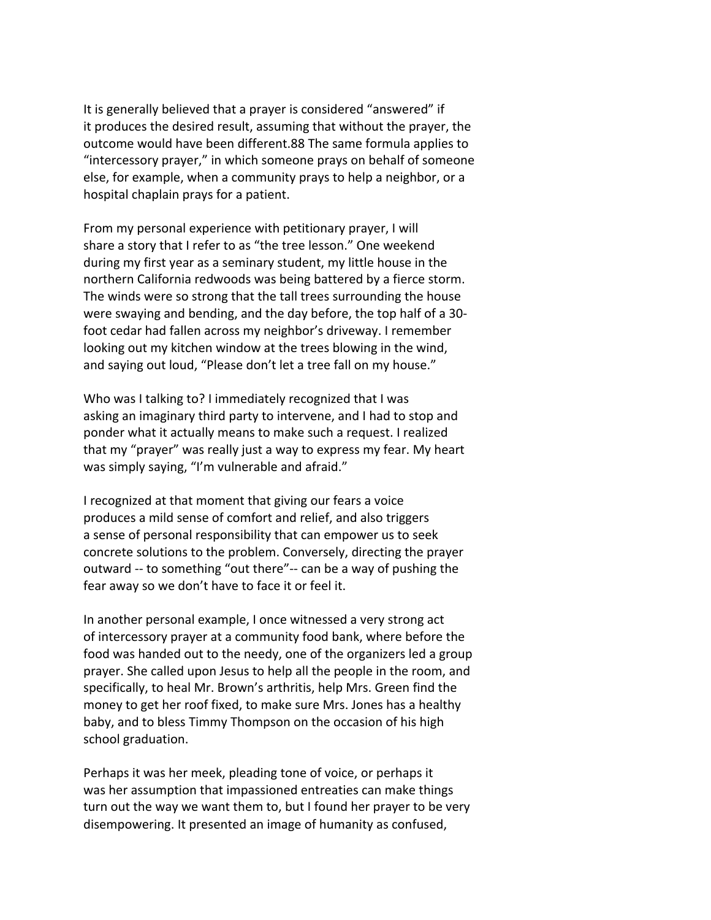It is generally believed that a prayer is considered "answered" if it produces the desired result, assuming that without the prayer, the outcome would have been different.88 The same formula applies to "intercessory prayer," in which someone prays on behalf of someone else, for example, when a community prays to help a neighbor, or a hospital chaplain prays for a patient.

From my personal experience with petitionary prayer, I will share a story that I refer to as "the tree lesson." One weekend during my first year as a seminary student, my little house in the northern California redwoods was being battered by a fierce storm. The winds were so strong that the tall trees surrounding the house were swaying and bending, and the day before, the top half of a 30 foot cedar had fallen across my neighbor's driveway. I remember looking out my kitchen window at the trees blowing in the wind, and saying out loud, "Please don't let a tree fall on my house."

Who was I talking to? I immediately recognized that I was asking an imaginary third party to intervene, and I had to stop and ponder what it actually means to make such a request. I realized that my "prayer" was really just a way to express my fear. My heart was simply saying, "I'm vulnerable and afraid."

I recognized at that moment that giving our fears a voice produces a mild sense of comfort and relief, and also triggers a sense of personal responsibility that can empower us to seek concrete solutions to the problem. Conversely, directing the prayer outward -- to something "out there"-- can be a way of pushing the fear away so we don't have to face it or feel it.

In another personal example, I once witnessed a very strong act of intercessory prayer at a community food bank, where before the food was handed out to the needy, one of the organizers led a group prayer. She called upon Jesus to help all the people in the room, and specifically, to heal Mr. Brown's arthritis, help Mrs. Green find the money to get her roof fixed, to make sure Mrs. Jones has a healthy baby, and to bless Timmy Thompson on the occasion of his high school graduation.

Perhaps it was her meek, pleading tone of voice, or perhaps it was her assumption that impassioned entreaties can make things turn out the way we want them to, but I found her prayer to be very disempowering. It presented an image of humanity as confused,